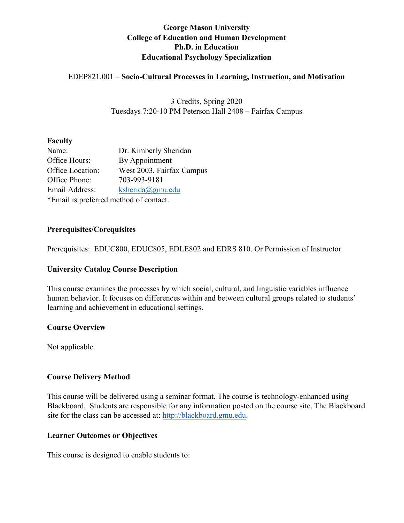## **George Mason University College of Education and Human Development Ph.D. in Education Educational Psychology Specialization**

## EDEP821.001 – **Socio-Cultural Processes in Learning, Instruction, and Motivation**

3 Credits, Spring 2020 Tuesdays 7:20-10 PM Peterson Hall 2408 – Fairfax Campus

#### **Faculty**

| Name:                                  | Dr. Kimberly Sheridan     |  |  |
|----------------------------------------|---------------------------|--|--|
| Office Hours:                          | By Appointment            |  |  |
| Office Location:                       | West 2003, Fairfax Campus |  |  |
| Office Phone:                          | 703-993-9181              |  |  |
| ksherida(@gmu.edu)<br>Email Address:   |                           |  |  |
| *Email is preferred method of contact. |                           |  |  |

#### **Prerequisites/Corequisites**

Prerequisites: EDUC800, EDUC805, EDLE802 and EDRS 810. Or Permission of Instructor.

## **University Catalog Course Description**

This course examines the processes by which social, cultural, and linguistic variables influence human behavior. It focuses on differences within and between cultural groups related to students' learning and achievement in educational settings.

#### **Course Overview**

Not applicable.

## **Course Delivery Method**

This course will be delivered using a seminar format. The course is technology-enhanced using Blackboard. Students are responsible for any information posted on the course site. The Blackboard site for the class can be accessed at: [http://blackboard.gmu.edu.](http://blackboard.gmu.edu/)

#### **Learner Outcomes or Objectives**

This course is designed to enable students to: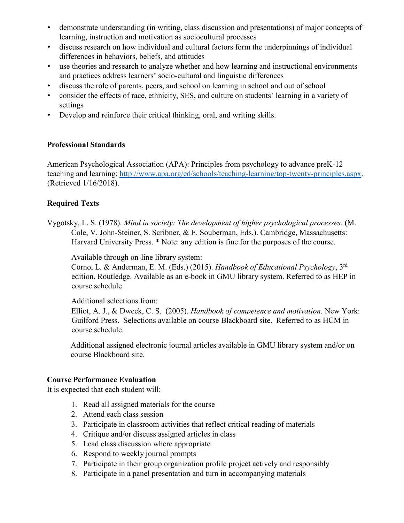- demonstrate understanding (in writing, class discussion and presentations) of major concepts of learning, instruction and motivation as sociocultural processes
- discuss research on how individual and cultural factors form the underpinnings of individual differences in behaviors, beliefs, and attitudes
- use theories and research to analyze whether and how learning and instructional environments and practices address learners' socio-cultural and linguistic differences
- discuss the role of parents, peers, and school on learning in school and out of school
- consider the effects of race, ethnicity, SES, and culture on students' learning in a variety of settings
- Develop and reinforce their critical thinking, oral, and writing skills.

## **Professional Standards**

American Psychological Association (APA): Principles from psychology to advance preK-12 teaching and learning: [http://www.apa.org/ed/schools/teaching-learning/top-twenty-principles.aspx.](http://www.apa.org/ed/schools/teaching-learning/top-twenty-principles.aspx) (Retrieved 1/16/2018).

## **Required Texts**

Vygotsky, L. S. (1978). *Mind in society: The development of higher psychological processes.* **(**M. Cole, V. John-Steiner, S. Scribner, & E. Souberman, Eds.). Cambridge, Massachusetts: Harvard University Press. \* Note: any edition is fine for the purposes of the course.

Available through on-line library system:

Corno, L. & Anderman, E. M. (Eds.) (2015). *Handbook of Educational Psychology*, 3rd edition. Routledge. Available as an e-book in GMU library system. Referred to as HEP in course schedule

#### Additional selections from:

Elliot, A. J., & Dweck, C. S. (2005). *Handbook of competence and motivation.* New York: Guilford Press. Selections available on course Blackboard site. Referred to as HCM in course schedule.

Additional assigned electronic journal articles available in GMU library system and/or on course Blackboard site.

## **Course Performance Evaluation**

It is expected that each student will:

- 1. Read all assigned materials for the course
- 2. Attend each class session
- 3. Participate in classroom activities that reflect critical reading of materials
- 4. Critique and/or discuss assigned articles in class
- 5. Lead class discussion where appropriate
- 6. Respond to weekly journal prompts
- 7. Participate in their group organization profile project actively and responsibly
- 8. Participate in a panel presentation and turn in accompanying materials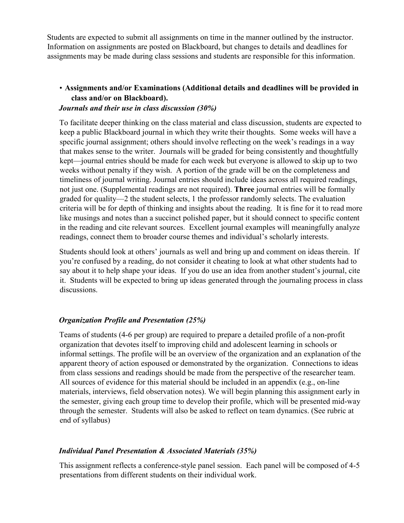Students are expected to submit all assignments on time in the manner outlined by the instructor. Information on assignments are posted on Blackboard, but changes to details and deadlines for assignments may be made during class sessions and students are responsible for this information.

# • **Assignments and/or Examinations (Additional details and deadlines will be provided in class and/or on Blackboard).**

## *Journals and their use in class discussion (30%)*

To facilitate deeper thinking on the class material and class discussion, students are expected to keep a public Blackboard journal in which they write their thoughts. Some weeks will have a specific journal assignment; others should involve reflecting on the week's readings in a way that makes sense to the writer. Journals will be graded for being consistently and thoughtfully kept—journal entries should be made for each week but everyone is allowed to skip up to two weeks without penalty if they wish. A portion of the grade will be on the completeness and timeliness of journal writing. Journal entries should include ideas across all required readings, not just one. (Supplemental readings are not required). **Three** journal entries will be formally graded for quality—2 the student selects, 1 the professor randomly selects. The evaluation criteria will be for depth of thinking and insights about the reading. It is fine for it to read more like musings and notes than a succinct polished paper, but it should connect to specific content in the reading and cite relevant sources. Excellent journal examples will meaningfully analyze readings, connect them to broader course themes and individual's scholarly interests.

Students should look at others' journals as well and bring up and comment on ideas therein. If you're confused by a reading, do not consider it cheating to look at what other students had to say about it to help shape your ideas. If you do use an idea from another student's journal, cite it. Students will be expected to bring up ideas generated through the journaling process in class discussions.

## *Organization Profile and Presentation (25%)*

Teams of students (4-6 per group) are required to prepare a detailed profile of a non-profit organization that devotes itself to improving child and adolescent learning in schools or informal settings. The profile will be an overview of the organization and an explanation of the apparent theory of action espoused or demonstrated by the organization. Connections to ideas from class sessions and readings should be made from the perspective of the researcher team. All sources of evidence for this material should be included in an appendix (e.g., on-line materials, interviews, field observation notes). We will begin planning this assignment early in the semester, giving each group time to develop their profile, which will be presented mid-way through the semester. Students will also be asked to reflect on team dynamics. (See rubric at end of syllabus)

## *Individual Panel Presentation & Associated Materials (35%)*

This assignment reflects a conference-style panel session. Each panel will be composed of 4-5 presentations from different students on their individual work.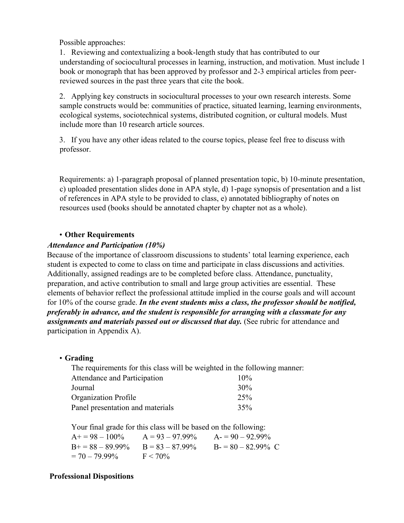Possible approaches:

1. Reviewing and contextualizing a book-length study that has contributed to our understanding of sociocultural processes in learning, instruction, and motivation. Must include 1 book or monograph that has been approved by professor and 2-3 empirical articles from peerreviewed sources in the past three years that cite the book.

2. Applying key constructs in sociocultural processes to your own research interests. Some sample constructs would be: communities of practice, situated learning, learning environments, ecological systems, sociotechnical systems, distributed cognition, or cultural models. Must include more than 10 research article sources.

3. If you have any other ideas related to the course topics, please feel free to discuss with professor.

Requirements: a) 1-paragraph proposal of planned presentation topic, b) 10-minute presentation, c) uploaded presentation slides done in APA style, d) 1-page synopsis of presentation and a list of references in APA style to be provided to class, e) annotated bibliography of notes on resources used (books should be annotated chapter by chapter not as a whole).

## • **Other Requirements**

#### *Attendance and Participation (10%)*

Because of the importance of classroom discussions to students' total learning experience, each student is expected to come to class on time and participate in class discussions and activities. Additionally, assigned readings are to be completed before class. Attendance, punctuality, preparation, and active contribution to small and large group activities are essential. These elements of behavior reflect the professional attitude implied in the course goals and will account for 10% of the course grade. *In the event students miss a class, the professor should be notified, preferably in advance, and the student is responsible for arranging with a classmate for any assignments and materials passed out or discussed that day.* (See rubric for attendance and participation in Appendix A).

## • **Grading**

| The requirements for this class will be weighted in the following manner: |        |  |  |
|---------------------------------------------------------------------------|--------|--|--|
| Attendance and Participation                                              | $10\%$ |  |  |
| Journal                                                                   | 30%    |  |  |
| <b>Organization Profile</b>                                               | 25%    |  |  |
| Panel presentation and materials                                          | 35%    |  |  |

Your final grade for this class will be based on the following:

| $A+=98-100\%$         | $A = 93 - 97.99\%$ | $A = 90 - 92.99\%$   |
|-----------------------|--------------------|----------------------|
| $B_{0}$ = 88 – 89.99% | $B = 83 - 87.99\%$ | $B = 80 - 82.99\%$ C |
| $= 70 - 79.99\%$      | $F < 70\%$         |                      |

## **Professional Dispositions**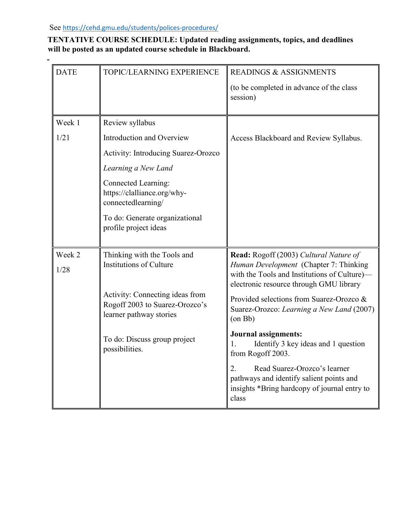**-**

## **TENTATIVE COURSE SCHEDULE: Updated reading assignments, topics, and deadlines will be posted as an updated course schedule in Blackboard.**

| <b>DATE</b> | TOPIC/LEARNING EXPERIENCE                                                                    | <b>READINGS &amp; ASSIGNMENTS</b>                                                                                                       |
|-------------|----------------------------------------------------------------------------------------------|-----------------------------------------------------------------------------------------------------------------------------------------|
|             |                                                                                              | (to be completed in advance of the class<br>session)                                                                                    |
| Week 1      | Review syllabus                                                                              |                                                                                                                                         |
| 1/21        | Introduction and Overview                                                                    | Access Blackboard and Review Syllabus.                                                                                                  |
|             | Activity: Introducing Suarez-Orozco                                                          |                                                                                                                                         |
|             | Learning a New Land                                                                          |                                                                                                                                         |
|             | <b>Connected Learning:</b><br>https://clalliance.org/why-<br>connectedlearning/              |                                                                                                                                         |
|             | To do: Generate organizational<br>profile project ideas                                      |                                                                                                                                         |
| Week 2      | Thinking with the Tools and                                                                  | Read: Rogoff (2003) Cultural Nature of                                                                                                  |
| 1/28        | <b>Institutions of Culture</b>                                                               | Human Development (Chapter 7: Thinking<br>with the Tools and Institutions of Culture)-<br>electronic resource through GMU library       |
|             | Activity: Connecting ideas from<br>Rogoff 2003 to Suarez-Orozco's<br>learner pathway stories | Provided selections from Suarez-Orozco &<br>Suarez-Orozco: Learning a New Land (2007)<br>$($ on Bb $)$                                  |
|             | To do: Discuss group project<br>possibilities.                                               | <b>Journal assignments:</b><br>Identify 3 key ideas and 1 question<br>1.<br>from Rogoff 2003.                                           |
|             |                                                                                              | 2.<br>Read Suarez-Orozco's learner<br>pathways and identify salient points and<br>insights *Bring hardcopy of journal entry to<br>class |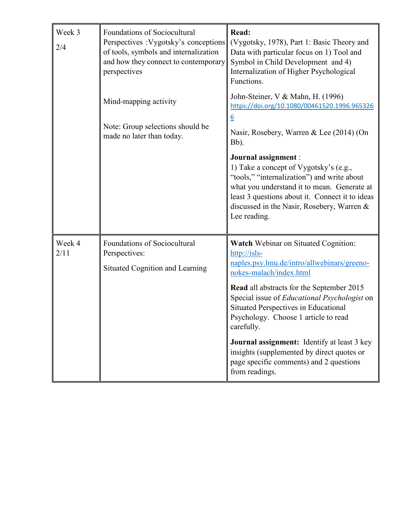| Week 3<br>2/4  | Foundations of Sociocultural<br>Perspectives : Vygotsky's conceptions<br>of tools, symbols and internalization<br>and how they connect to contemporary<br>perspectives | Read:<br>(Vygotsky, 1978), Part 1: Basic Theory and<br>Data with particular focus on 1) Tool and<br>Symbol in Child Development and 4)<br>Internalization of Higher Psychological<br>Functions.                                                                                                                                                                                                                                                                                                           |  |
|----------------|------------------------------------------------------------------------------------------------------------------------------------------------------------------------|-----------------------------------------------------------------------------------------------------------------------------------------------------------------------------------------------------------------------------------------------------------------------------------------------------------------------------------------------------------------------------------------------------------------------------------------------------------------------------------------------------------|--|
|                | Mind-mapping activity<br>Note: Group selections should be<br>made no later than today.                                                                                 | John-Steiner, V & Mahn, H. (1996)<br>https://doi.org/10.1080/00461520.1996.965326<br>$\underline{6}$<br>Nasir, Rosebery, Warren & Lee (2014) (On<br>Bb).                                                                                                                                                                                                                                                                                                                                                  |  |
|                |                                                                                                                                                                        | Journal assignment :<br>1) Take a concept of Vygotsky's (e.g.,<br>"tools," "internalization") and write about<br>what you understand it to mean. Generate at<br>least 3 questions about it. Connect it to ideas<br>discussed in the Nasir, Rosebery, Warren &<br>Lee reading.                                                                                                                                                                                                                             |  |
| Week 4<br>2/11 | Foundations of Sociocultural<br>Perspectives:<br>Situated Cognition and Learning                                                                                       | <b>Watch</b> Webinar on Situated Cognition:<br>$\frac{http://isls-$<br>naples.psy.lmu.de/intro/allwebinars/greeno-<br>nokes-malach/index.html<br>Read all abstracts for the September 2015<br>Special issue of <i>Educational Psychologist</i> on<br>Situated Perspectives in Educational<br>Psychology. Choose 1 article to read<br>carefully.<br>Journal assignment: Identify at least 3 key<br>insights (supplemented by direct quotes or<br>page specific comments) and 2 questions<br>from readings. |  |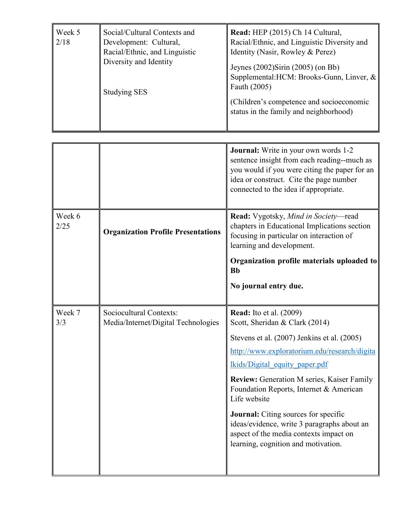| Week 5<br>2/18 | Social/Cultural Contexts and<br>Development: Cultural,<br>Racial/Ethnic, and Linguistic<br>Diversity and Identity<br><b>Studying SES</b> | Read: HEP (2015) Ch 14 Cultural,<br>Racial/Ethnic, and Linguistic Diversity and<br>Identity (Nasir, Rowley & Perez)<br>Jeynes (2002) Sirin (2005) (on Bb)<br>Supplemental: HCM: Brooks-Gunn, Linver, &<br>Fauth (2005)<br>(Children's competence and socioeconomic<br>status in the family and neighborhood) |
|----------------|------------------------------------------------------------------------------------------------------------------------------------------|--------------------------------------------------------------------------------------------------------------------------------------------------------------------------------------------------------------------------------------------------------------------------------------------------------------|
|----------------|------------------------------------------------------------------------------------------------------------------------------------------|--------------------------------------------------------------------------------------------------------------------------------------------------------------------------------------------------------------------------------------------------------------------------------------------------------------|

|                |                                                                | <b>Journal:</b> Write in your own words 1-2<br>sentence insight from each reading--much as<br>you would if you were citing the paper for an<br>idea or construct. Cite the page number<br>connected to the idea if appropriate.                                                                                                                                                                                                                                                                  |
|----------------|----------------------------------------------------------------|--------------------------------------------------------------------------------------------------------------------------------------------------------------------------------------------------------------------------------------------------------------------------------------------------------------------------------------------------------------------------------------------------------------------------------------------------------------------------------------------------|
| Week 6<br>2/25 | <b>Organization Profile Presentations</b>                      | Read: Vygotsky, Mind in Society-read<br>chapters in Educational Implications section<br>focusing in particular on interaction of<br>learning and development.                                                                                                                                                                                                                                                                                                                                    |
|                |                                                                | Organization profile materials uploaded to<br><b>Bb</b>                                                                                                                                                                                                                                                                                                                                                                                                                                          |
|                |                                                                | No journal entry due.                                                                                                                                                                                                                                                                                                                                                                                                                                                                            |
| Week 7<br>3/3  | Sociocultural Contexts:<br>Media/Internet/Digital Technologies | <b>Read:</b> Ito et al. (2009)<br>Scott, Sheridan & Clark (2014)<br>Stevens et al. (2007) Jenkins et al. (2005)<br>http://www.exploratorium.edu/research/digita<br>lkids/Digital equity paper.pdf<br><b>Review:</b> Generation M series, Kaiser Family<br>Foundation Reports, Internet & American<br>Life website<br><b>Journal:</b> Citing sources for specific<br>ideas/evidence, write 3 paragraphs about an<br>aspect of the media contexts impact on<br>learning, cognition and motivation. |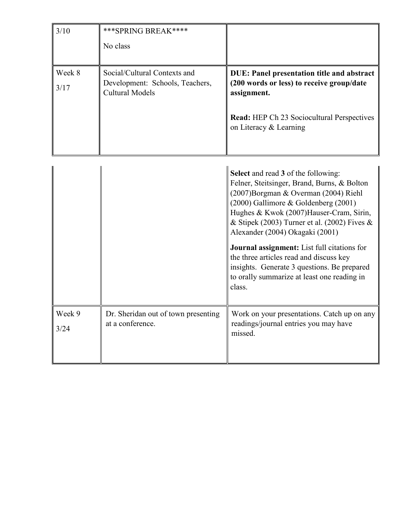| 3/10           | *** SPRING BREAK****                                                                      |                                                                                                                                                                                                                                                                                                       |  |  |
|----------------|-------------------------------------------------------------------------------------------|-------------------------------------------------------------------------------------------------------------------------------------------------------------------------------------------------------------------------------------------------------------------------------------------------------|--|--|
|                | No class                                                                                  |                                                                                                                                                                                                                                                                                                       |  |  |
| Week 8<br>3/17 | Social/Cultural Contexts and<br>Development: Schools, Teachers,<br><b>Cultural Models</b> | <b>DUE: Panel presentation title and abstract</b><br>(200 words or less) to receive group/date<br>assignment.                                                                                                                                                                                         |  |  |
|                |                                                                                           | <b>Read:</b> HEP Ch 23 Sociocultural Perspectives<br>on Literacy & Learning                                                                                                                                                                                                                           |  |  |
|                |                                                                                           | Select and read 3 of the following:<br>Felner, Steitsinger, Brand, Burns, & Bolton<br>(2007)Borgman & Overman (2004) Riehl<br>$(2000)$ Gallimore & Goldenberg $(2001)$<br>Hughes & Kwok (2007) Hauser-Cram, Sirin,<br>& Stipek (2003) Turner et al. (2002) Fives &<br>Alexander (2004) Okagaki (2001) |  |  |
|                |                                                                                           | <b>Journal assignment:</b> List full citations for<br>the three articles read and discuss key<br>insights. Generate 3 questions. Be prepared<br>to orally summarize at least one reading in<br>class.                                                                                                 |  |  |
| Week 9<br>3/24 | Dr. Sheridan out of town presenting<br>at a conference.                                   | Work on your presentations. Catch up on any<br>readings/journal entries you may have<br>missed.                                                                                                                                                                                                       |  |  |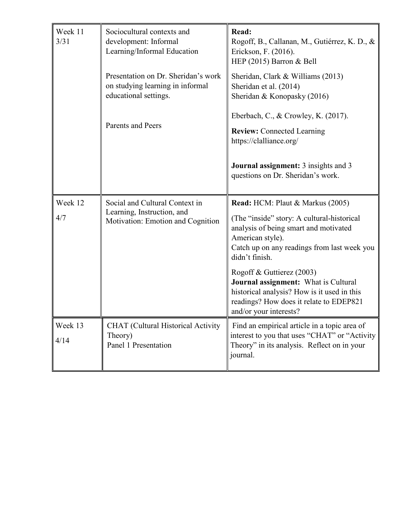| Week 11<br>3/31                                                                                  | Sociocultural contexts and<br>development: Informal<br>Learning/Informal Education                | Read:<br>Rogoff, B., Callanan, M., Gutiérrez, K. D., &<br>Erickson, F. (2016).<br>HEP (2015) Barron & Bell                                                                                                   |  |  |
|--------------------------------------------------------------------------------------------------|---------------------------------------------------------------------------------------------------|--------------------------------------------------------------------------------------------------------------------------------------------------------------------------------------------------------------|--|--|
| Presentation on Dr. Sheridan's work<br>on studying learning in informal<br>educational settings. |                                                                                                   | Sheridan, Clark & Williams (2013)<br>Sheridan et al. (2014)<br>Sheridan & Konopasky (2016)                                                                                                                   |  |  |
|                                                                                                  | Parents and Peers                                                                                 | Eberbach, C., & Crowley, K. (2017).<br><b>Review:</b> Connected Learning<br>https://clalliance.org/                                                                                                          |  |  |
|                                                                                                  |                                                                                                   | <b>Journal assignment:</b> 3 insights and 3<br>questions on Dr. Sheridan's work.                                                                                                                             |  |  |
| Week 12<br>4/7                                                                                   | Social and Cultural Context in<br>Learning, Instruction, and<br>Motivation: Emotion and Cognition | Read: HCM: Plaut & Markus (2005)<br>(The "inside" story: A cultural-historical<br>analysis of being smart and motivated<br>American style).<br>Catch up on any readings from last week you<br>didn't finish. |  |  |
|                                                                                                  |                                                                                                   | Rogoff & Guttierez (2003)<br>Journal assignment: What is Cultural<br>historical analysis? How is it used in this<br>readings? How does it relate to EDEP821<br>and/or your interests?                        |  |  |
| Week 13<br>4/14                                                                                  | <b>CHAT</b> (Cultural Historical Activity<br>Theory)<br>Panel 1 Presentation                      | Find an empirical article in a topic area of<br>interest to you that uses "CHAT" or "Activity<br>Theory" in its analysis. Reflect on in your<br>journal.                                                     |  |  |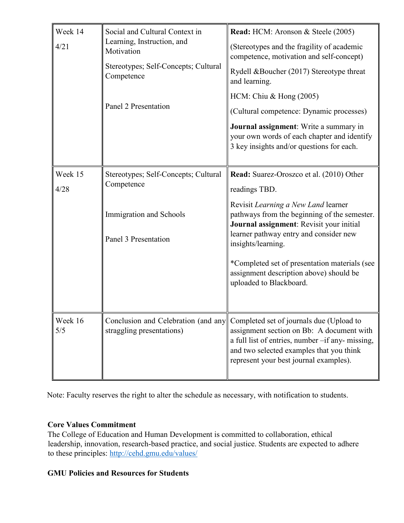| Week 14<br>4/21 | Social and Cultural Context in<br>Learning, Instruction, and<br>Motivation<br>Stereotypes; Self-Concepts; Cultural<br>Competence<br>Panel 2 Presentation | Read: HCM: Aronson & Steele (2005)<br>(Stereotypes and the fragility of academic<br>competence, motivation and self-concept)<br>Rydell &Boucher (2017) Stereotype threat<br>and learning.<br>HCM: Chiu & Hong $(2005)$<br>(Cultural competence: Dynamic processes)<br>Journal assignment: Write a summary in<br>your own words of each chapter and identify<br>3 key insights and/or questions for each. |
|-----------------|----------------------------------------------------------------------------------------------------------------------------------------------------------|----------------------------------------------------------------------------------------------------------------------------------------------------------------------------------------------------------------------------------------------------------------------------------------------------------------------------------------------------------------------------------------------------------|
| Week 15<br>4/28 | Stereotypes; Self-Concepts; Cultural<br>Competence<br>Immigration and Schools<br>Panel 3 Presentation                                                    | Read: Suarez-Oroszco et al. (2010) Other<br>readings TBD.<br>Revisit Learning a New Land learner<br>pathways from the beginning of the semester.<br>Journal assignment: Revisit your initial<br>learner pathway entry and consider new<br>insights/learning.<br>*Completed set of presentation materials (see<br>assignment description above) should be<br>uploaded to Blackboard.                      |
| Week 16<br>5/5  | Conclusion and Celebration (and any<br>straggling presentations)                                                                                         | Completed set of journals due (Upload to<br>assignment section on Bb: A document with<br>a full list of entries, number -if any- missing,<br>and two selected examples that you think<br>represent your best journal examples).                                                                                                                                                                          |

Note: Faculty reserves the right to alter the schedule as necessary, with notification to students.

## **Core Values Commitment**

The College of Education and Human Development is committed to collaboration, ethical leadership, innovation, research-based practice, and social justice. Students are expected to adhere to these principles:<http://cehd.gmu.edu/values/>

## **GMU Policies and Resources for Students**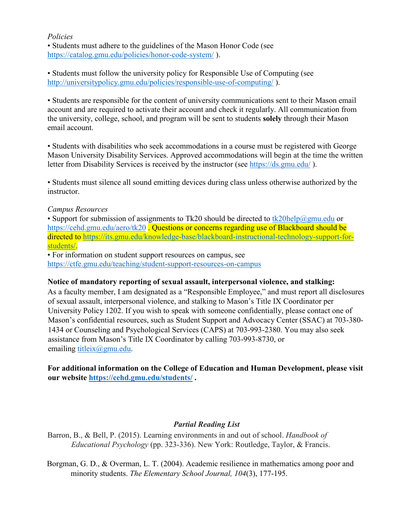#### *Policies*

• Students must adhere to the guidelines of the Mason Honor Code (see <https://catalog.gmu.edu/policies/honor-code-system/> ).

• Students must follow the university policy for Responsible Use of Computing (see <http://universitypolicy.gmu.edu/policies/responsible-use-of-computing/> ).

• Students are responsible for the content of university communications sent to their Mason email account and are required to activate their account and check it regularly. All communication from the university, college, school, and program will be sent to students **solely** through their Mason email account.

• Students with disabilities who seek accommodations in a course must be registered with George Mason University Disability Services. Approved accommodations will begin at the time the written letter from Disability Services is received by the instructor (see<https://ds.gmu.edu/> ).

• Students must silence all sound emitting devices during class unless otherwise authorized by the instructor.

#### *Campus Resources*

• Support for submission of assignments to Tk20 should be directed to  $tk20$ help $@g$ gmu.edu or <https://cehd.gmu.edu/aero/tk20>. Questions or concerns regarding use of Blackboard should be directed to [https://its.gmu.edu/knowledge-base/blackboard-instructional-technology-support-for](https://its.gmu.edu/knowledge-base/blackboard-instructional-technology-support-for-students/)[students/.](https://its.gmu.edu/knowledge-base/blackboard-instructional-technology-support-for-students/)

• For information on student support resources on campus, see <https://ctfe.gmu.edu/teaching/student-support-resources-on-campus>

#### **Notice of mandatory reporting of sexual assault, interpersonal violence, and stalking:**

As a faculty member, I am designated as a "Responsible Employee," and must report all disclosures of sexual assault, interpersonal violence, and stalking to Mason's Title IX Coordinator per University Policy 1202. If you wish to speak with someone confidentially, please contact one of Mason's confidential resources, such as Student Support and Advocacy Center (SSAC) at 703-380- 1434 or Counseling and Psychological Services (CAPS) at 703-993-2380. You may also seek assistance from Mason's Title IX Coordinator by calling 703-993-8730, or emailing [titleix@gmu.edu.](mailto:titleix@gmu.edu)

## **For additional information on the College of Education and Human Development, please visit our website<https://cehd.gmu.edu/students/> .**

## *Partial Reading List*

Barron, B., & Bell, P. (2015). Learning environments in and out of school. *Handbook of Educational Psychology* (pp. 323-336). New York: Routledge, Taylor, & Francis.

Borgman, G. D., & Overman, L. T. (2004). Academic resilience in mathematics among poor and minority students. *The Elementary School Journal, 104*(3), 177-195.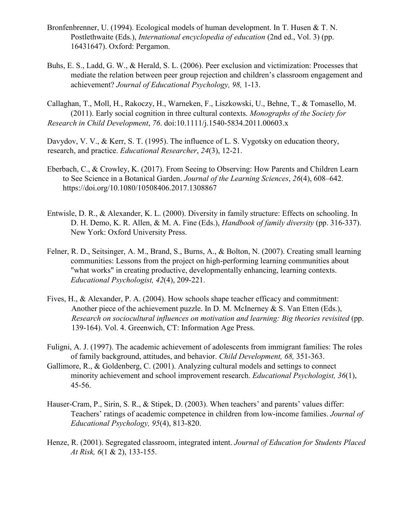- Bronfenbrenner, U. (1994). Ecological models of human development. In T. Husen & T. N. Postlethwaite (Eds.), *International encyclopedia of education* (2nd ed., Vol. 3) (pp. 16431647). Oxford: Pergamon.
- Buhs, E. S., Ladd, G. W., & Herald, S. L. (2006). Peer exclusion and victimization: Processes that mediate the relation between peer group rejection and children's classroom engagement and achievement? *Journal of Educational Psychology, 98,* 1-13.
- Callaghan, T., Moll, H., Rakoczy, H., Warneken, F., Liszkowski, U., Behne, T., & Tomasello, M. (2011). Early social cognition in three cultural contexts. *Monographs of the Society for Research in Child Development*, *76*. doi:10.1111/j.1540-5834.2011.00603.x

Davydov, V. V., & Kerr, S. T. (1995). The influence of L. S. Vygotsky on education theory, research, and practice. *Educational Researcher*, *24*(3), 12-21.

- Eberbach, C., & Crowley, K. (2017). From Seeing to Observing: How Parents and Children Learn to See Science in a Botanical Garden. *Journal of the Learning Sciences*, *26*(4), 608–642. https://doi.org/10.1080/10508406.2017.1308867
- Entwisle, D. R., & Alexander, K. L. (2000). Diversity in family structure: Effects on schooling. In D. H. Demo, K. R. Allen, & M. A. Fine (Eds.), *Handbook of family diversity* (pp. 316-337). New York: Oxford University Press.
- Felner, R. D., Seitsinger, A. M., Brand, S., Burns, A., & Bolton, N. (2007). Creating small learning communities: Lessons from the project on high-performing learning communities about "what works" in creating productive, developmentally enhancing, learning contexts. *Educational Psychologist, 42*(4), 209-221.
- Fives, H., & Alexander, P. A. (2004). How schools shape teacher efficacy and commitment: Another piece of the achievement puzzle. In D. M. McInerney & S. Van Etten (Eds.), *Research on sociocultural influences on motivation and learning: Big theories revisited* (pp. 139-164). Vol. 4. Greenwich, CT: Information Age Press.
- Fuligni, A. J. (1997). The academic achievement of adolescents from immigrant families: The roles of family background, attitudes, and behavior. *Child Development, 68,* 351-363.
- Gallimore, R., & Goldenberg, C. (2001). Analyzing cultural models and settings to connect minority achievement and school improvement research. *Educational Psychologist, 36*(1), 45-56.
- Hauser-Cram, P., Sirin, S. R., & Stipek, D. (2003). When teachers' and parents' values differ: Teachers' ratings of academic competence in children from low-income families. *Journal of Educational Psychology, 95*(4), 813-820.
- Henze, R. (2001). Segregated classroom, integrated intent. *Journal of Education for Students Placed At Risk, 6*(1 & 2), 133-155.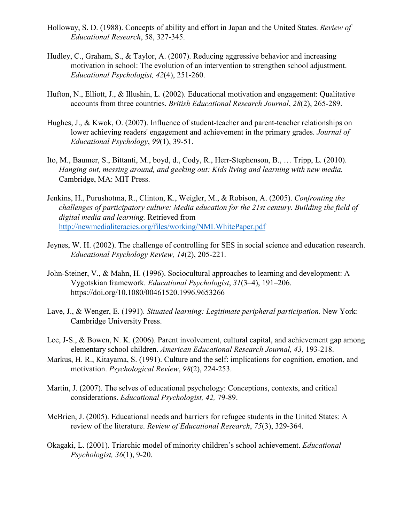- Holloway, S. D. (1988). Concepts of ability and effort in Japan and the United States. *Review of Educational Research*, 58, 327-345.
- Hudley, C., Graham, S., & Taylor, A. (2007). Reducing aggressive behavior and increasing motivation in school: The evolution of an intervention to strengthen school adjustment. *Educational Psychologist, 42*(4), 251-260.
- Hufton, N., Elliott, J., & Illushin, L. (2002). Educational motivation and engagement: Qualitative accounts from three countries. *British Educational Research Journal*, *28*(2), 265-289.
- Hughes, J., & Kwok, O. (2007). Influence of student-teacher and parent-teacher relationships on lower achieving readers' engagement and achievement in the primary grades. *Journal of Educational Psychology*, *99*(1), 39-51.
- Ito, M., Baumer, S., Bittanti, M., boyd, d., Cody, R., Herr-Stephenson, B., … Tripp, L. (2010). *Hanging out, messing around, and geeking out: Kids living and learning with new media.* Cambridge, MA: MIT Press.
- Jenkins, H., Purushotma, R., Clinton, K., Weigler, M., & Robison, A. (2005). *Confronting the challenges of participatory culture: Media education for the 21st century. Building the field of digital media and learning.* Retrieved from <http://newmedialiteracies.org/files/working/NMLWhitePaper.pdf>
- Jeynes, W. H. (2002). The challenge of controlling for SES in social science and education research. *Educational Psychology Review, 14*(2), 205-221.
- John-Steiner, V., & Mahn, H. (1996). Sociocultural approaches to learning and development: A Vygotskian framework. *Educational Psychologist*, *31*(3–4), 191–206. https://doi.org/10.1080/00461520.1996.9653266
- Lave, J., & Wenger, E. (1991). *Situated learning: Legitimate peripheral participation.* New York: Cambridge University Press.
- Lee, J-S., & Bowen, N. K. (2006). Parent involvement, cultural capital, and achievement gap among elementary school children. *American Educational Research Journal, 43,* 193-218.
- Markus, H. R., Kitayama, S. (1991). Culture and the self: implications for cognition, emotion, and motivation. *Psychological Review*, *98*(2), 224-253.
- Martin, J. (2007). The selves of educational psychology: Conceptions, contexts, and critical considerations. *Educational Psychologist, 42,* 79-89.
- McBrien, J. (2005). Educational needs and barriers for refugee students in the United States: A review of the literature. *Review of Educational Research*, *75*(3), 329-364.
- Okagaki, L. (2001). Triarchic model of minority children's school achievement. *Educational Psychologist, 36*(1), 9-20.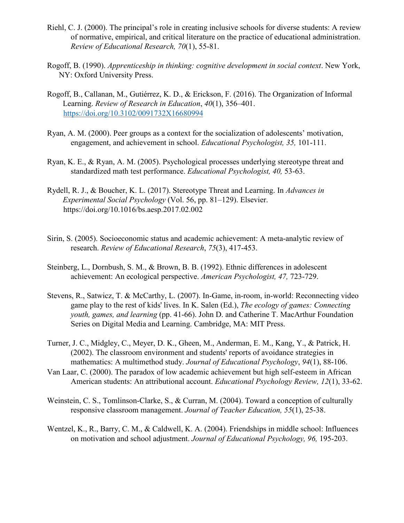- Riehl, C. J. (2000). The principal's role in creating inclusive schools for diverse students: A review of normative, empirical, and critical literature on the practice of educational administration. *Review of Educational Research, 70*(1), 55-81.
- Rogoff, B. (1990). *Apprenticeship in thinking: cognitive development in social context*. New York, NY: Oxford University Press.
- Rogoff, B., Callanan, M., Gutiérrez, K. D., & Erickson, F. (2016). The Organization of Informal Learning. *Review of Research in Education*, *40*(1), 356–401. <https://doi.org/10.3102/0091732X16680994>
- Ryan, A. M. (2000). Peer groups as a context for the socialization of adolescents' motivation, engagement, and achievement in school. *Educational Psychologist, 35,* 101-111.
- Ryan, K. E., & Ryan, A. M. (2005). Psychological processes underlying stereotype threat and standardized math test performance. *Educational Psychologist, 40,* 53-63.
- Rydell, R. J., & Boucher, K. L. (2017). Stereotype Threat and Learning. In *Advances in Experimental Social Psychology* (Vol. 56, pp. 81–129). Elsevier. https://doi.org/10.1016/bs.aesp.2017.02.002
- Sirin, S. (2005). Socioeconomic status and academic achievement: A meta-analytic review of research. *Review of Educational Research*, *75*(3), 417-453.
- Steinberg, L., Dornbush, S. M., & Brown, B. B. (1992). Ethnic differences in adolescent achievement: An ecological perspective. *American Psychologist, 47,* 723-729.
- Stevens, R., Satwicz, T. & McCarthy, L. (2007). In-Game, in-room, in-world: Reconnecting video game play to the rest of kids' lives. In K. Salen (Ed.), *The ecology of games: Connecting youth, games, and learning* (pp. 41-66). John D. and Catherine T. MacArthur Foundation Series on Digital Media and Learning. Cambridge, MA: MIT Press.
- Turner, J. C., Midgley, C., Meyer, D. K., Gheen, M., Anderman, E. M., Kang, Y., & Patrick, H. (2002). The classroom environment and students' reports of avoidance strategies in mathematics: A multimethod study. *Journal of Educational Psychology*, *94*(1), 88-106.
- Van Laar, C. (2000). The paradox of low academic achievement but high self-esteem in African American students: An attributional account. *Educational Psychology Review, 12*(1), 33-62.
- Weinstein, C. S., Tomlinson-Clarke, S., & Curran, M. (2004). Toward a conception of culturally responsive classroom management. *Journal of Teacher Education, 55*(1), 25-38.
- Wentzel, K., R., Barry, C. M., & Caldwell, K. A. (2004). Friendships in middle school: Influences on motivation and school adjustment. *Journal of Educational Psychology, 96,* 195-203.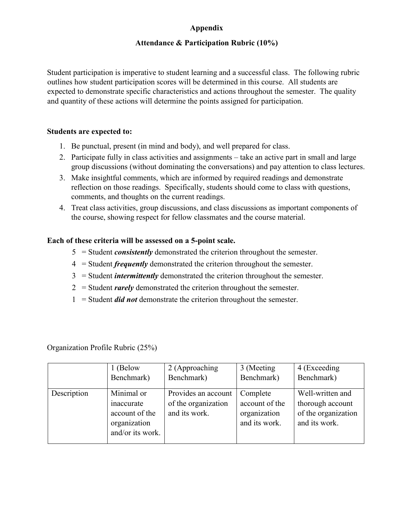## **Appendix**

## **Attendance & Participation Rubric (10%)**

Student participation is imperative to student learning and a successful class. The following rubric outlines how student participation scores will be determined in this course. All students are expected to demonstrate specific characteristics and actions throughout the semester. The quality and quantity of these actions will determine the points assigned for participation.

#### **Students are expected to:**

- 1. Be punctual, present (in mind and body), and well prepared for class.
- 2. Participate fully in class activities and assignments take an active part in small and large group discussions (without dominating the conversations) and pay attention to class lectures.
- 3. Make insightful comments, which are informed by required readings and demonstrate reflection on those readings. Specifically, students should come to class with questions, comments, and thoughts on the current readings.
- 4. Treat class activities, group discussions, and class discussions as important components of the course, showing respect for fellow classmates and the course material.

#### **Each of these criteria will be assessed on a 5-point scale.**

- 5 = Student *consistently* demonstrated the criterion throughout the semester.
- 4 = Student *frequently* demonstrated the criterion throughout the semester.
- 3 = Student *intermittently* demonstrated the criterion throughout the semester.
- 2 = Student *rarely* demonstrated the criterion throughout the semester.
- 1 = Student *did not* demonstrate the criterion throughout the semester.

Organization Profile Rubric (25%)

|             | 1 (Below                                                                       | 2 (Approaching                                              | 3 (Meeting                                                  | 4 (Exceeding                                                                 |
|-------------|--------------------------------------------------------------------------------|-------------------------------------------------------------|-------------------------------------------------------------|------------------------------------------------------------------------------|
|             | Benchmark)                                                                     | Benchmark)                                                  | Benchmark)                                                  | Benchmark)                                                                   |
| Description | Minimal or<br>inaccurate<br>account of the<br>organization<br>and/or its work. | Provides an account<br>of the organization<br>and its work. | Complete<br>account of the<br>organization<br>and its work. | Well-written and<br>thorough account<br>of the organization<br>and its work. |